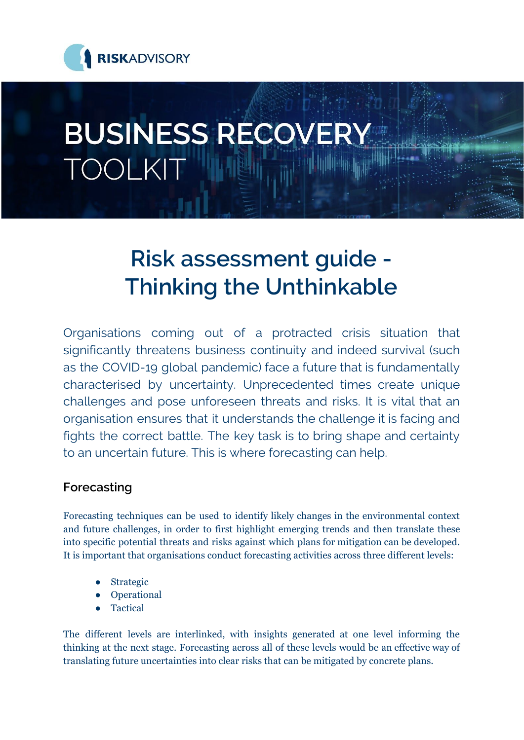

# **BUSINESS RECOVERY TOOLKIT**

## **Risk assessment guide - Thinking the Unthinkable**

Organisations coming out of a protracted crisis situation that significantly threatens business continuity and indeed survival (such as the COVID-19 global pandemic) face a future that is fundamentally characterised by uncertainty. Unprecedented times create unique challenges and pose unforeseen threats and risks. It is vital that an organisation ensures that it understands the challenge it is facing and fights the correct battle. The key task is to bring shape and certainty to an uncertain future. This is where forecasting can help.

#### **Forecasting**

Forecasting techniques can be used to identify likely changes in the environmental context and future challenges, in order to first highlight emerging trends and then translate these into specific potential threats and risks against which plans for mitigation can be developed. It is important that organisations conduct forecasting activities across three different levels:

- **Strategic**
- Operational
- **Tactical**

The different levels are interlinked, with insights generated at one level informing the thinking at the next stage. Forecasting across all of these levels would be an effective way of translating future uncertainties into clear risks that can be mitigated by concrete plans.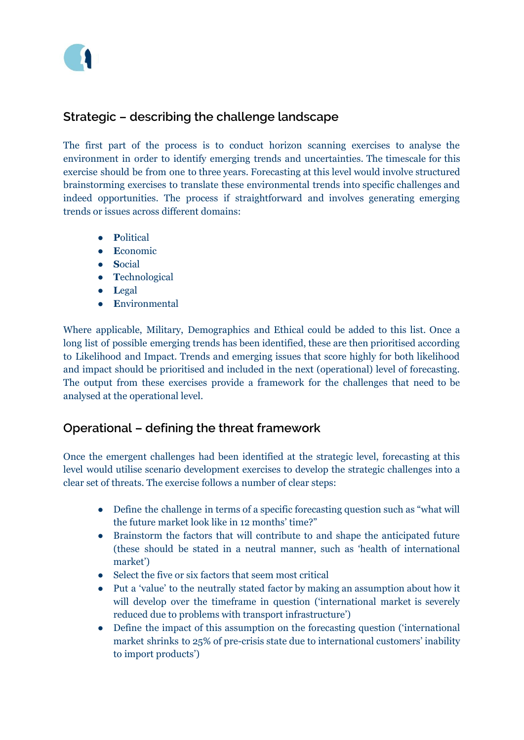### **Strategic – describing the challenge landscape**

The first part of the process is to conduct horizon scanning exercises to analyse the environment in order to identify emerging trends and uncertainties. The timescale for this exercise should be from one to three years. Forecasting at this level would involve structured brainstorming exercises to translate these environmental trends into specific challenges and indeed opportunities. The process if straightforward and involves generating emerging trends or issues across different domains:

- **P**olitical
- **E**conomic
- **S**ocial
- **T**echnological
- **L**egal
- **E**nvironmental

Where applicable, Military, Demographics and Ethical could be added to this list. Once a long list of possible emerging trends has been identified, these are then prioritised according to Likelihood and Impact. Trends and emerging issues that score highly for both likelihood and impact should be prioritised and included in the next (operational) level of forecasting. The output from these exercises provide a framework for the challenges that need to be analysed at the operational level.

#### **Operational – defining the threat framework**

Once the emergent challenges had been identified at the strategic level, forecasting at this level would utilise scenario development exercises to develop the strategic challenges into a clear set of threats. The exercise follows a number of clear steps:

- Define the challenge in terms of a specific forecasting question such as "what will the future market look like in 12 months' time?"
- Brainstorm the factors that will contribute to and shape the anticipated future (these should be stated in a neutral manner, such as 'health of international market')
- Select the five or six factors that seem most critical
- Put a 'value' to the neutrally stated factor by making an assumption about how it will develop over the timeframe in question ('international market is severely reduced due to problems with transport infrastructure')
- Define the impact of this assumption on the forecasting question ('international market shrinks to 25% of pre-crisis state due to international customers' inability to import products')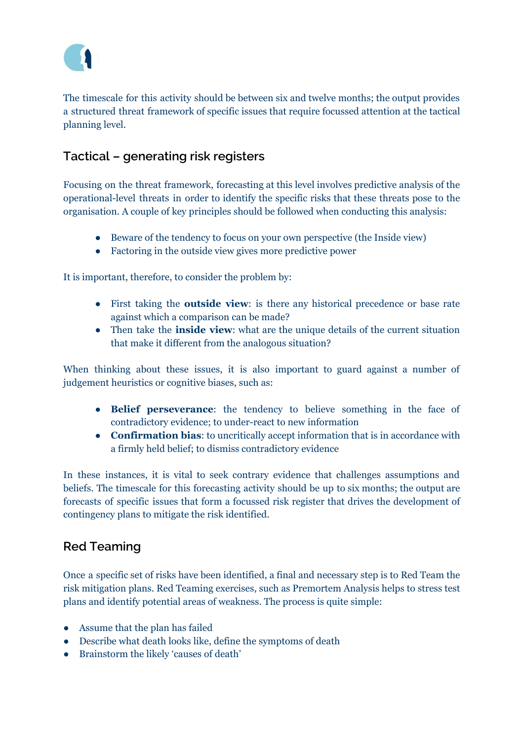

The timescale for this activity should be between six and twelve months; the output provides a structured threat framework of specific issues that require focussed attention at the tactical planning level.

#### **Tactical – generating risk registers**

Focusing on the threat framework, forecasting at this level involves predictive analysis of the operational-level threats in order to identify the specific risks that these threats pose to the organisation. A couple of key principles should be followed when conducting this analysis:

- Beware of the tendency to focus on your own perspective (the Inside view)
- Factoring in the outside view gives more predictive power

It is important, therefore, to consider the problem by:

- First taking the **outside view**: is there any historical precedence or base rate against which a comparison can be made?
- Then take the **inside view**: what are the unique details of the current situation that make it different from the analogous situation?

When thinking about these issues, it is also important to guard against a number of judgement heuristics or cognitive biases, such as:

- **Belief perseverance**: the tendency to believe something in the face of contradictory evidence; to under-react to new information
- **Confirmation bias**: to uncritically accept information that is in accordance with a firmly held belief; to dismiss contradictory evidence

In these instances, it is vital to seek contrary evidence that challenges assumptions and beliefs. The timescale for this forecasting activity should be up to six months; the output are forecasts of specific issues that form a focussed risk register that drives the development of contingency plans to mitigate the risk identified.

#### **Red Teaming**

Once a specific set of risks have been identified, a final and necessary step is to Red Team the risk mitigation plans. Red Teaming exercises, such as Premortem Analysis helps to stress test plans and identify potential areas of weakness. The process is quite simple:

- Assume that the plan has failed
- Describe what death looks like, define the symptoms of death
- Brainstorm the likely 'causes of death'